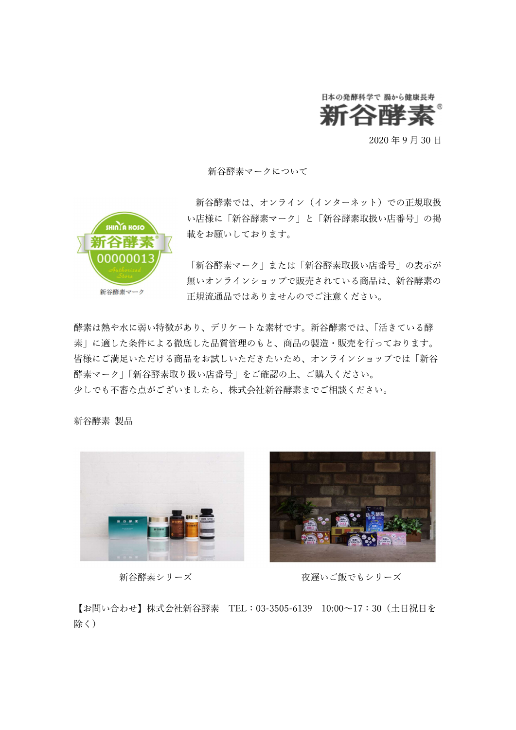

2020 年 9 月 30 日

新谷酵素マークについて

SHINTA HOSO 新谷酵素マーク

新谷酵素では、オンライン(インターネット)での正規取扱 い店様に「新谷酵素マーク」と「新谷酵素取扱い店番号」の掲 載をお願いしております。

「新谷酵素マーク」または「新谷酵素取扱い店番号」の表示が 無いオンラインショップで販売されている商品は、新谷酵素の 正規流通品ではありませんのでご注意ください。

酵素は熱や水に弱い特徴があり、デリケートな素材です。新谷酵素では、「活きている酵 素」に適した条件による徹底した品質管理のもと、商品の製造・販売を行っております。 皆様にご満足いただける商品をお試しいただきたいため、オンラインショップでは「新谷 酵素マーク」「新谷酵素取り扱い店番号」をご確認の上、ご購入ください。 少しでも不審な点がございましたら、株式会社新谷酵素までご相談ください。

新谷酵素 製品





新谷酵素シリーズ おおしゃ 夜遅いご飯でもシリーズ

【お問い合わせ】株式会社新谷酵素 TEL:03-3505-6139 10:00~17:30(土日祝日を 除く)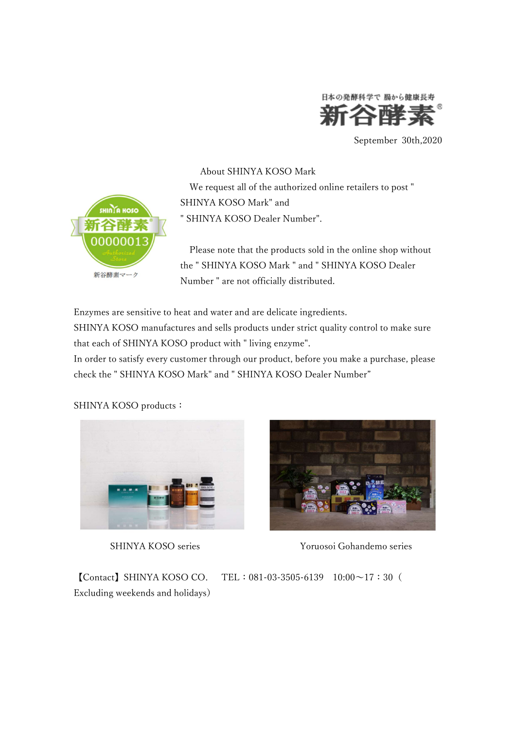

September 30th,2020



About SHINYA KOSO Mark We request all of the authorized online retailers to post " SHINYA KOSO Mark" and " SHINYA KOSO Dealer Number".

 Please note that the products sold in the online shop without the " SHINYA KOSO Mark " and " SHINYA KOSO Dealer Number " are not officially distributed.

Enzymes are sensitive to heat and water and are delicate ingredients.

SHINYA KOSO manufactures and sells products under strict quality control to make sure that each of SHINYA KOSO product with " living enzyme".

In order to satisfy every customer through our product, before you make a purchase, please check the " SHINYA KOSO Mark" and " SHINYA KOSO Dealer Number"

SHINYA KOSO products:





SHINYA KOSO series Yoruosoi Gohandemo series

【Contact】SHINYA KOSO CO. TEL:081-03-3505-6139 10:00~17:30( Excluding weekends and holidays)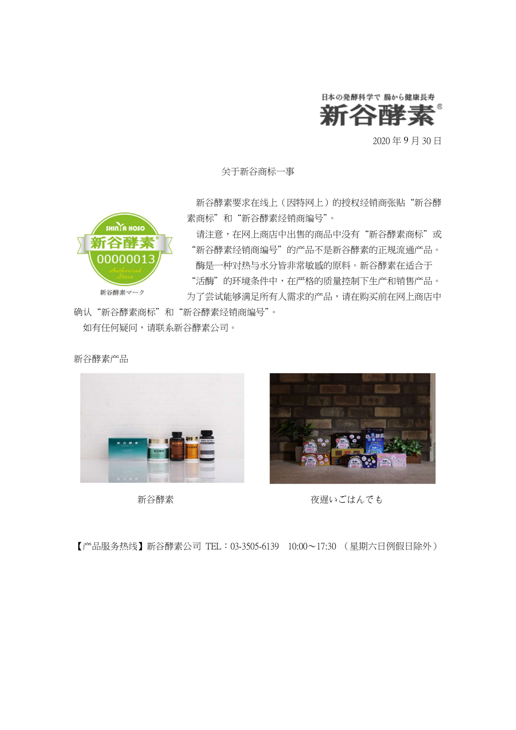

2020 年 9 月 30 日

关于新谷商标一事

**SHINTA HOSO** 

新谷酵素マーク

 新谷酵素要求在线上(因特网上)的授权经销商张贴"新谷酵 素商标"和"新谷酵素经销商编号"。

请注意,在网上商店中出售的商品中没有"新谷酵素商标"或 "新谷酵素经销商编号"的产品不是新谷酵素的正规流通产品。 酶是一种对热与水分皆非常敏感的原料。新谷酵素在适合于 "活酶"的环境条件中,在严格的质量控制下生产和销售产品。 为了尝试能够满足所有人需求的产品,请在购买前在网上商店中

确认"新谷酵素商标"和"新谷酵素经销商编号"。 如有任何疑问,请联系新谷酵素公司。

新谷酵素产品





新谷酵素 インチャンプ ウィック 夜遅いごはんでも

【产品服务热线】新谷酵素公司 TEL:03-3505-6139 10:00~17:30 (星期六日例假日除外)